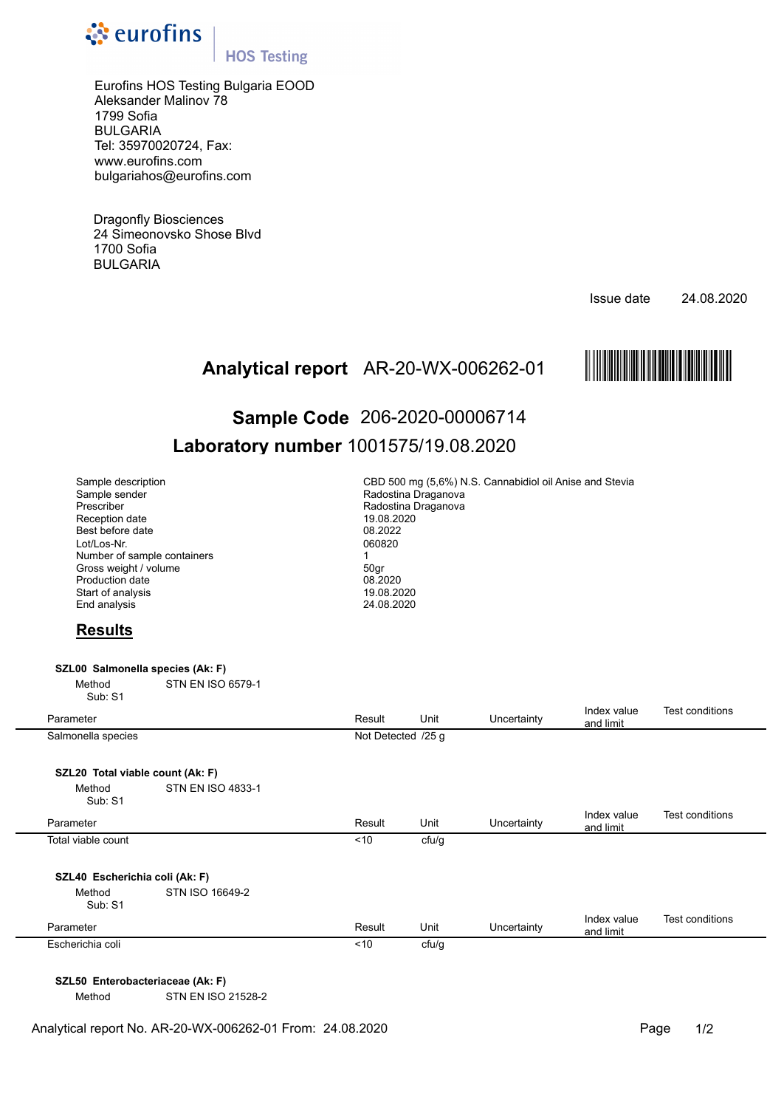

## **HOS Testing**

Eurofins HOS Testing Bulgaria EOOD Aleksander Malinov 78 1799 Sofia BULGARIA Tel: 35970020724, Fax: www.eurofins.com bulgariahos@eurofins.com

Dragonfly Biosciences 24 Simeonovsko Shose Blvd 1700 Sofia BULGARIA

Issue date 24.08.2020



# AR-20-WX-006262-01 МAR-20-WX-ЗВ^^И-01[О **Analytical report Sample Code** 206-2020-00006714 **Laboratory number** 1001575/19.08.2020

| Sample description<br>Sample sender<br>Prescriber<br>Reception date<br>Best before date<br>Lot/Los-Nr.<br>Number of sample containers<br>Gross weight / volume<br>Production date<br>Start of analysis<br>End analysis |                          | CBD 500 mg (5,6%) N.S. Cannabidiol oil Anise and Stevia<br>Radostina Draganova<br>Radostina Draganova<br>19.08.2020<br>08.2022<br>060820<br>1<br>50gr<br>08.2020<br>19.08.2020<br>24.08.2020 |       |             |                          |                        |  |  |
|------------------------------------------------------------------------------------------------------------------------------------------------------------------------------------------------------------------------|--------------------------|----------------------------------------------------------------------------------------------------------------------------------------------------------------------------------------------|-------|-------------|--------------------------|------------------------|--|--|
| <b>Results</b>                                                                                                                                                                                                         |                          |                                                                                                                                                                                              |       |             |                          |                        |  |  |
| SZL00 Salmonella species (Ak: F)                                                                                                                                                                                       |                          |                                                                                                                                                                                              |       |             |                          |                        |  |  |
| Method<br>Sub: S1                                                                                                                                                                                                      | <b>STN EN ISO 6579-1</b> |                                                                                                                                                                                              |       |             |                          |                        |  |  |
| Parameter                                                                                                                                                                                                              |                          | Result                                                                                                                                                                                       | Unit  | Uncertainty | Index value<br>and limit | Test conditions        |  |  |
| Salmonella species                                                                                                                                                                                                     |                          | Not Detected /25 g                                                                                                                                                                           |       |             |                          |                        |  |  |
|                                                                                                                                                                                                                        |                          |                                                                                                                                                                                              |       |             |                          |                        |  |  |
| SZL20 Total viable count (Ak: F)<br>Method<br>Sub: S1                                                                                                                                                                  | <b>STN EN ISO 4833-1</b> |                                                                                                                                                                                              |       |             |                          |                        |  |  |
| Parameter                                                                                                                                                                                                              |                          | Result                                                                                                                                                                                       | Unit  | Uncertainty | Index value<br>and limit | <b>Test conditions</b> |  |  |
| Total viable count                                                                                                                                                                                                     |                          | < 10                                                                                                                                                                                         | cfu/g |             |                          |                        |  |  |
| SZL40 Escherichia coli (Ak: F)<br>Method<br>Sub: S1                                                                                                                                                                    | STN ISO 16649-2          |                                                                                                                                                                                              |       |             |                          |                        |  |  |
| Parameter                                                                                                                                                                                                              |                          | Result                                                                                                                                                                                       | Unit  | Uncertainty | Index value<br>and limit | Test conditions        |  |  |
| Escherichia coli                                                                                                                                                                                                       |                          | < 10                                                                                                                                                                                         | cfu/g |             |                          |                        |  |  |
|                                                                                                                                                                                                                        |                          |                                                                                                                                                                                              |       |             |                          |                        |  |  |

**SZL50 Enterobacteriaceae (Ak: F)** 

Method STN EN ISO 21528-2